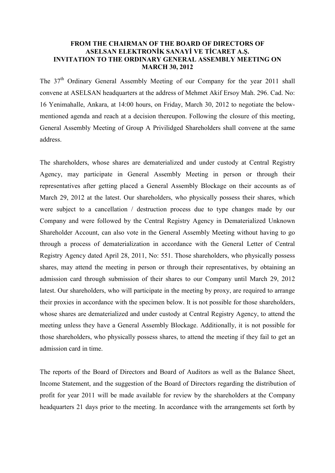## **FROM THE CHAIRMAN OF THE BOARD OF DIRECTORS OF ASELSAN ELEKTRONİK SANAYİ VE TİCARET A.Ş. INVITATION TO THE ORDINARY GENERAL ASSEMBLY MEETING ON MARCH 30, 2012**

The  $37<sup>th</sup>$  Ordinary General Assembly Meeting of our Company for the year 2011 shall convene at ASELSAN headquarters at the address of Mehmet Akif Ersoy Mah. 296. Cad. No: 16 Yenimahalle, Ankara, at 14:00 hours, on Friday, March 30, 2012 to negotiate the belowmentioned agenda and reach at a decision thereupon. Following the closure of this meeting, General Assembly Meeting of Group A Privilidged Shareholders shall convene at the same address.

The shareholders, whose shares are dematerialized and under custody at Central Registry Agency, may participate in General Assembly Meeting in person or through their representatives after getting placed a General Assembly Blockage on their accounts as of March 29, 2012 at the latest. Our shareholders, who physically possess their shares, which were subject to a cancellation / destruction process due to type changes made by our Company and were followed by the Central Registry Agency in Dematerialized Unknown Shareholder Account, can also vote in the General Assembly Meeting without having to go through a process of dematerialization in accordance with the General Letter of Central Registry Agency dated April 28, 2011, No: 551. Those shareholders, who physically possess shares, may attend the meeting in person or through their representatives, by obtaining an admission card through submission of their shares to our Company until March 29, 2012 latest. Our shareholders, who will participate in the meeting by proxy, are required to arrange their proxies in accordance with the specimen below. It is not possible for those shareholders, whose shares are dematerialized and under custody at Central Registry Agency, to attend the meeting unless they have a General Assembly Blockage. Additionally, it is not possible for those shareholders, who physically possess shares, to attend the meeting if they fail to get an admission card in time.

The reports of the Board of Directors and Board of Auditors as well as the Balance Sheet, Income Statement, and the suggestion of the Board of Directors regarding the distribution of profit for year 2011 will be made available for review by the shareholders at the Company headquarters 21 days prior to the meeting. In accordance with the arrangements set forth by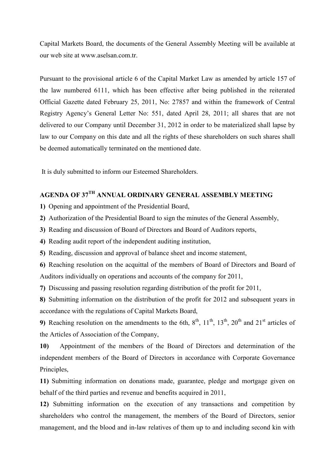Capital Markets Board, the documents of the General Assembly Meeting will be available at our web site at www aselsan com tr.

Pursuant to the provisional article 6 of the Capital Market Law as amended by article 157 of the law numbered 6111, which has been effective after being published in the reiterated Official Gazette dated February 25, 2011, No: 27857 and within the framework of Central Registry Agency's General Letter No: 551, dated April 28, 2011; all shares that are not delivered to our Company until December 31, 2012 in order to be materialized shall lapse by law to our Company on this date and all the rights of these shareholders on such shares shall be deemed automatically terminated on the mentioned date.

It is duly submitted to inform our Esteemed Shareholders.

## **AGENDA OF 37TH ANNUAL ORDINARY GENERAL ASSEMBLY MEETING**

**1)** Opening and appointment of the Presidential Board,

**2)** Authorization of the Presidential Board to sign the minutes of the General Assembly,

**3)** Reading and discussion of Board of Directors and Board of Auditors reports,

**4)** Reading audit report of the independent auditing institution,

**5)** Reading, discussion and approval of balance sheet and income statement,

**6)** Reaching resolution on the acquittal of the members of Board of Directors and Board of Auditors individually on operations and accounts of the company for 2011,

**7)** Discussing and passing resolution regarding distribution of the profit for 2011,

**8)** Submitting information on the distribution of the profit for 2012 and subsequent years in accordance with the regulations of Capital Markets Board,

**9)** Reaching resolution on the amendments to the 6th,  $8<sup>th</sup>$ ,  $11<sup>th</sup>$ ,  $13<sup>th</sup>$ ,  $20<sup>th</sup>$  and  $21<sup>st</sup>$  articles of the Articles of Association of the Company,

**10)** Appointment of the members of the Board of Directors and determination of the independent members of the Board of Directors in accordance with Corporate Governance Principles,

**11)** Submitting information on donations made, guarantee, pledge and mortgage given on behalf of the third parties and revenue and benefits acquired in 2011,

**12)** Submitting information on the execution of any transactions and competition by shareholders who control the management, the members of the Board of Directors, senior management, and the blood and in-law relatives of them up to and including second kin with